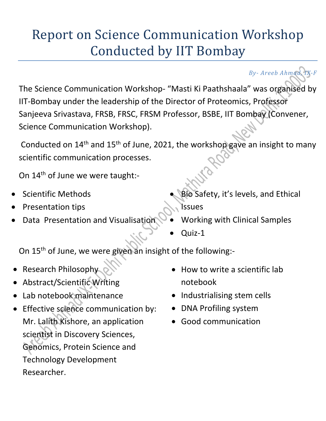## Report on Science Communication Workshop Conducted by IIT Bombay

*By‐ Areeb Ahmad, IX‐F*

The Science Communication Workshop‐ "Masti Ki Paathshaala" was organised by IIT‐Bombay under the leadership of the Director of Proteomics, Professor Sanjeeva Srivastava, FRSB, FRSC, FRSM Professor, BSBE, IIT Bombay (Convener, Science Communication Workshop).

Conducted on 14<sup>th</sup> and 15<sup>th</sup> of June, 2021, the workshop gave an insight to many scientific communication processes.

On 14<sup>th</sup> of June we were taught:-

- Scientific Methods
- Presentation tips
- Data Presentation and Visualisation
- Bio Safety, it's levels, and Ethical Issues
- Working with Clinical Samples
- Quiz‐1

On 15<sup>th</sup> of June, we were given an insight of the following:-

- Research Philosophy
- Abstract/Scientific Writing
- Lab notebook maintenance
- **•** Effective science communication by: Mr. Lalith Kishore, an application scientist in Discovery Sciences, Genomics, Protein Science and Technology Development Researcher.
- How to write a scientific lab notebook
- Industrialising stem cells
- DNA Profiling system
- Good communication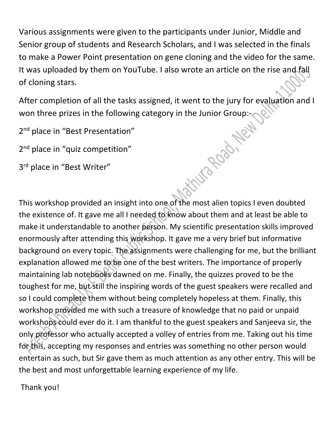Various assignments were given to the participants under Junior, Middle and Senior group of students and Research Scholars, and I was selected in the finals to make a Power Point presentation on gene cloning and the video for the same. It was uploaded by them on YouTube. I also wrote an article on the rise and fall of cloning stars.

After completion of all the tasks assigned, it went to the jury for evaluation and I won three prizes in the following category in the Junior Group:<br>
2<sup>nd</sup> place in "Best Presentation"<br>
3<sup>rd</sup> place in "Best Writer"<br>
3<sup>rd</sup> place in "Best Writer"

2<sup>nd</sup> place in "Best Presentation"

2<sup>nd</sup> place in "quiz competition"

3rd place in "Best Writer"

This workshop provided an insight into one of the most alien topics I even doubted the existence of. It gave me all I needed to know about them and at least be able to make it understandable to another person. My scientific presentation skills improved enormously after attending this workshop. It gave me a very brief but informative background on every topic. The assignments were challenging for me, but the brilliant explanation allowed me to be one of the best writers. The importance of properly maintaining lab notebooks dawned on me. Finally, the quizzes proved to be the toughest for me, but still the inspiring words of the guest speakers were recalled and so I could complete them without being completely hopeless at them. Finally, this workshop provided me with such a treasure of knowledge that no paid or unpaid workshops could ever do it. I am thankful to the guest speakers and Sanjeeva sir, the only professor who actually accepted a volley of entries from me. Taking out his time for this, accepting my responses and entries was something no other person would entertain as such, but Sir gave them as much attention as any other entry. This will be the best and most unforgettable learning experience of my life.

Thank you!